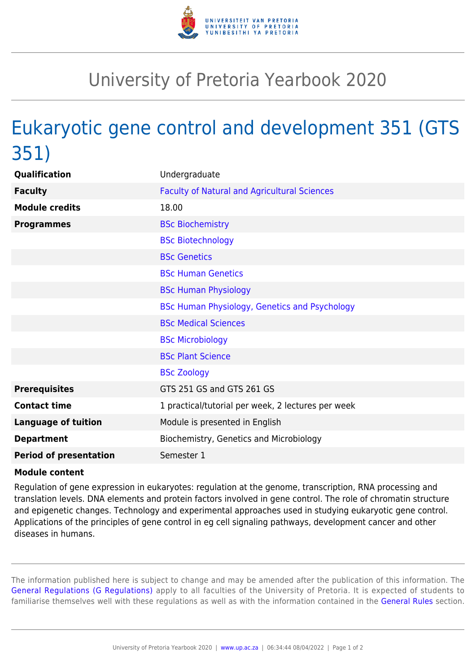

## University of Pretoria Yearbook 2020

## Eukaryotic gene control and development 351 (GTS 351)

| Qualification                 | Undergraduate                                       |
|-------------------------------|-----------------------------------------------------|
| <b>Faculty</b>                | <b>Faculty of Natural and Agricultural Sciences</b> |
| <b>Module credits</b>         | 18.00                                               |
| <b>Programmes</b>             | <b>BSc Biochemistry</b>                             |
|                               | <b>BSc Biotechnology</b>                            |
|                               | <b>BSc Genetics</b>                                 |
|                               | <b>BSc Human Genetics</b>                           |
|                               | <b>BSc Human Physiology</b>                         |
|                               | BSc Human Physiology, Genetics and Psychology       |
|                               | <b>BSc Medical Sciences</b>                         |
|                               | <b>BSc Microbiology</b>                             |
|                               | <b>BSc Plant Science</b>                            |
|                               | <b>BSc Zoology</b>                                  |
| <b>Prerequisites</b>          | GTS 251 GS and GTS 261 GS                           |
| <b>Contact time</b>           | 1 practical/tutorial per week, 2 lectures per week  |
| <b>Language of tuition</b>    | Module is presented in English                      |
| <b>Department</b>             | Biochemistry, Genetics and Microbiology             |
| <b>Period of presentation</b> | Semester 1                                          |

## **Module content**

Regulation of gene expression in eukaryotes: regulation at the genome, transcription, RNA processing and translation levels. DNA elements and protein factors involved in gene control. The role of chromatin structure and epigenetic changes. Technology and experimental approaches used in studying eukaryotic gene control. Applications of the principles of gene control in eg cell signaling pathways, development cancer and other diseases in humans.

The information published here is subject to change and may be amended after the publication of this information. The [General Regulations \(G Regulations\)](https://www.up.ac.za/yearbooks/2020/rules/view/REG) apply to all faculties of the University of Pretoria. It is expected of students to familiarise themselves well with these regulations as well as with the information contained in the [General Rules](https://www.up.ac.za/yearbooks/2020/rules/view/RUL) section.